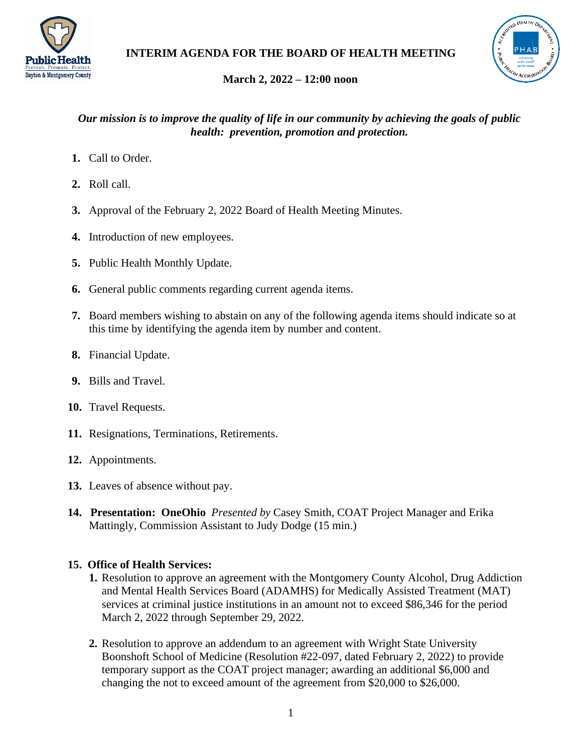



# **March 2, 2022 – 12:00 noon**

### *Our mission is to improve the quality of life in our community by achieving the goals of public health: prevention, promotion and protection.*

- **1.** Call to Order.
- **2.** Roll call.
- **3.** Approval of the February 2, 2022 Board of Health Meeting Minutes.
- **4.** Introduction of new employees.
- **5.** Public Health Monthly Update.
- **6.** General public comments regarding current agenda items.
- **7.** Board members wishing to abstain on any of the following agenda items should indicate so at this time by identifying the agenda item by number and content.
- **8.** Financial Update.
- **9.** Bills and Travel.
- **10.** Travel Requests.
- **11.** Resignations, Terminations, Retirements.
- **12.** Appointments.
- **13.** Leaves of absence without pay.
- **14. Presentation: OneOhio** *Presented by* Casey Smith, COAT Project Manager and Erika Mattingly, Commission Assistant to Judy Dodge (15 min.)

## **15. Office of Health Services:**

- **1.** Resolution to approve an agreement with the Montgomery County Alcohol, Drug Addiction and Mental Health Services Board (ADAMHS) for Medically Assisted Treatment (MAT) services at criminal justice institutions in an amount not to exceed \$86,346 for the period March 2, 2022 through September 29, 2022.
- **2.** Resolution to approve an addendum to an agreement with Wright State University Boonshoft School of Medicine (Resolution #22-097, dated February 2, 2022) to provide temporary support as the COAT project manager; awarding an additional \$6,000 and changing the not to exceed amount of the agreement from \$20,000 to \$26,000.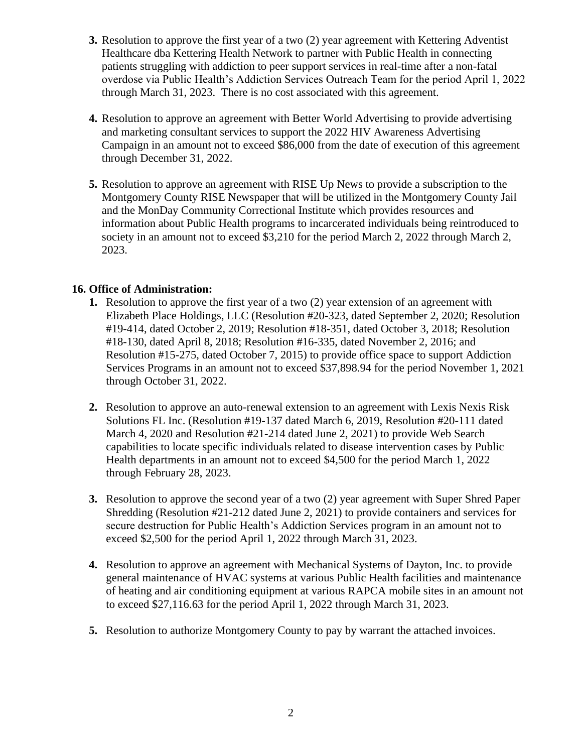- **3.** Resolution to approve the first year of a two (2) year agreement with Kettering Adventist Healthcare dba Kettering Health Network to partner with Public Health in connecting patients struggling with addiction to peer support services in real-time after a non-fatal overdose via Public Health's Addiction Services Outreach Team for the period April 1, 2022 through March 31, 2023. There is no cost associated with this agreement.
- **4.** Resolution to approve an agreement with Better World Advertising to provide advertising and marketing consultant services to support the 2022 HIV Awareness Advertising Campaign in an amount not to exceed \$86,000 from the date of execution of this agreement through December 31, 2022.
- **5.** Resolution to approve an agreement with RISE Up News to provide a subscription to the Montgomery County RISE Newspaper that will be utilized in the Montgomery County Jail and the MonDay Community Correctional Institute which provides resources and information about Public Health programs to incarcerated individuals being reintroduced to society in an amount not to exceed \$3,210 for the period March 2, 2022 through March 2, 2023.

### **16. Office of Administration:**

- **1.** Resolution to approve the first year of a two (2) year extension of an agreement with Elizabeth Place Holdings, LLC (Resolution #20-323, dated September 2, 2020; Resolution #19-414, dated October 2, 2019; Resolution #18-351, dated October 3, 2018; Resolution #18-130, dated April 8, 2018; Resolution #16-335, dated November 2, 2016; and Resolution #15-275, dated October 7, 2015) to provide office space to support Addiction Services Programs in an amount not to exceed \$37,898.94 for the period November 1, 2021 through October 31, 2022.
- **2.** Resolution to approve an auto-renewal extension to an agreement with Lexis Nexis Risk Solutions FL Inc. (Resolution #19-137 dated March 6, 2019, Resolution #20-111 dated March 4, 2020 and Resolution #21-214 dated June 2, 2021) to provide Web Search capabilities to locate specific individuals related to disease intervention cases by Public Health departments in an amount not to exceed \$4,500 for the period March 1, 2022 through February 28, 2023.
- **3.** Resolution to approve the second year of a two (2) year agreement with Super Shred Paper Shredding (Resolution #21-212 dated June 2, 2021) to provide containers and services for secure destruction for Public Health's Addiction Services program in an amount not to exceed \$2,500 for the period April 1, 2022 through March 31, 2023.
- **4.** Resolution to approve an agreement with Mechanical Systems of Dayton, Inc. to provide general maintenance of HVAC systems at various Public Health facilities and maintenance of heating and air conditioning equipment at various RAPCA mobile sites in an amount not to exceed \$27,116.63 for the period April 1, 2022 through March 31, 2023.
- **5.** Resolution to authorize Montgomery County to pay by warrant the attached invoices.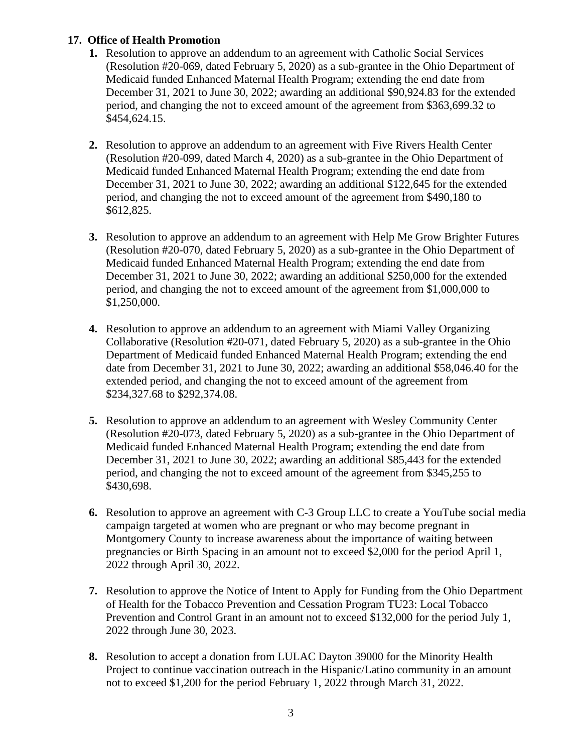### **17. Office of Health Promotion**

- **1.** Resolution to approve an addendum to an agreement with Catholic Social Services (Resolution #20-069, dated February 5, 2020) as a sub-grantee in the Ohio Department of Medicaid funded Enhanced Maternal Health Program; extending the end date from December 31, 2021 to June 30, 2022; awarding an additional \$90,924.83 for the extended period, and changing the not to exceed amount of the agreement from \$363,699.32 to \$454,624.15.
- **2.** Resolution to approve an addendum to an agreement with Five Rivers Health Center (Resolution #20-099, dated March 4, 2020) as a sub-grantee in the Ohio Department of Medicaid funded Enhanced Maternal Health Program; extending the end date from December 31, 2021 to June 30, 2022; awarding an additional \$122,645 for the extended period, and changing the not to exceed amount of the agreement from \$490,180 to \$612,825.
- **3.** Resolution to approve an addendum to an agreement with Help Me Grow Brighter Futures (Resolution #20-070, dated February 5, 2020) as a sub-grantee in the Ohio Department of Medicaid funded Enhanced Maternal Health Program; extending the end date from December 31, 2021 to June 30, 2022; awarding an additional \$250,000 for the extended period, and changing the not to exceed amount of the agreement from \$1,000,000 to \$1,250,000.
- **4.** Resolution to approve an addendum to an agreement with Miami Valley Organizing Collaborative (Resolution #20-071, dated February 5, 2020) as a sub-grantee in the Ohio Department of Medicaid funded Enhanced Maternal Health Program; extending the end date from December 31, 2021 to June 30, 2022; awarding an additional \$58,046.40 for the extended period, and changing the not to exceed amount of the agreement from \$234,327.68 to \$292,374.08.
- **5.** Resolution to approve an addendum to an agreement with Wesley Community Center (Resolution #20-073, dated February 5, 2020) as a sub-grantee in the Ohio Department of Medicaid funded Enhanced Maternal Health Program; extending the end date from December 31, 2021 to June 30, 2022; awarding an additional \$85,443 for the extended period, and changing the not to exceed amount of the agreement from \$345,255 to \$430,698.
- **6.** Resolution to approve an agreement with C-3 Group LLC to create a YouTube social media campaign targeted at women who are pregnant or who may become pregnant in Montgomery County to increase awareness about the importance of waiting between pregnancies or Birth Spacing in an amount not to exceed \$2,000 for the period April 1, 2022 through April 30, 2022.
- **7.** Resolution to approve the Notice of Intent to Apply for Funding from the Ohio Department of Health for the Tobacco Prevention and Cessation Program TU23: Local Tobacco Prevention and Control Grant in an amount not to exceed \$132,000 for the period July 1, 2022 through June 30, 2023.
- **8.** Resolution to accept a donation from LULAC Dayton 39000 for the Minority Health Project to continue vaccination outreach in the Hispanic/Latino community in an amount not to exceed \$1,200 for the period February 1, 2022 through March 31, 2022.